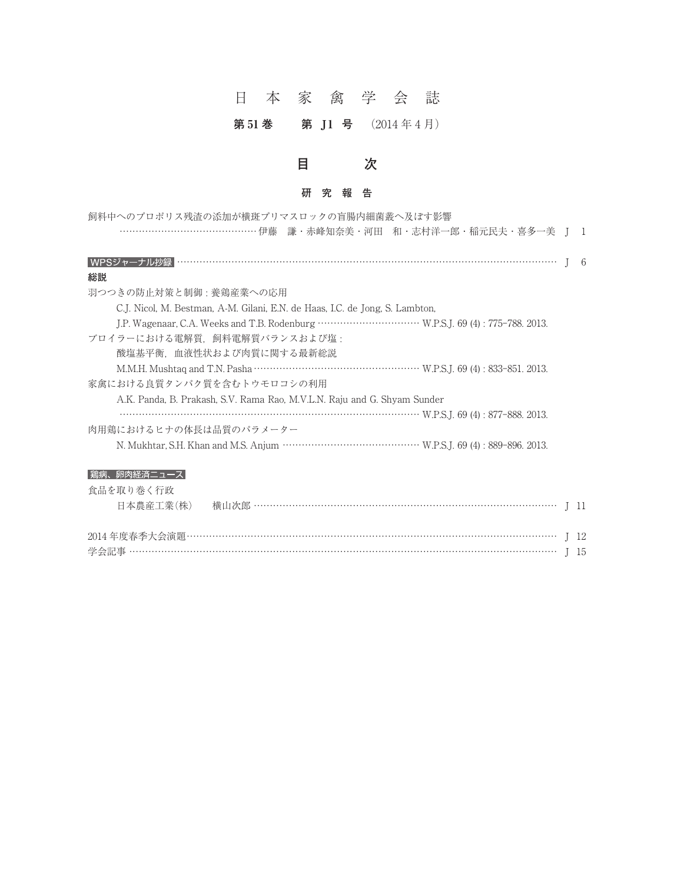# 日本家禽学会誌

### 第51 巻 第 J1 号 (2014年4月)



| 飼料中へのプロポリス残渣の添加が横斑プリマスロックの盲腸内細菌叢へ及ぼす影響             |  |  |
|----------------------------------------------------|--|--|
| ………………………………………伊藤 謙·赤峰知奈美·河田 和·志村洋一郎·稲元民夫·喜多一美 J 1 |  |  |

| WPSジャ<br>÷лк≏≡∎<br>リレイジ並来 |  |
|---------------------------|--|
|                           |  |

#### **総説**

| WPSジャーナル抄録                                                                        |
|-----------------------------------------------------------------------------------|
| 総説                                                                                |
| 羽つつきの防止対策と制御・養鶏産業への応用                                                             |
| C.J. Nicol, M. Bestman, A-M. Gilani, E.N. de Haas, I.C. de Jong, S. Lambton,      |
|                                                                                   |
| ブロイラーにおける電解質、飼料電解質バランスおよび塩:                                                       |
| 酸塩基平衡   血液性状および肉質に関する最新総説                                                         |
| M.M.H. Mushtaq and T.N. Pasha ……………………………………………… W.P.S.J. 69 (4) : 833–851, 2013. |
| 家禽における良質タンパク質を含むトウモロコシの利用                                                         |
| A.K. Panda, B. Prakash, S.V. Rama Rao, M.V.L.N. Raju and G. Shyam Sunder          |
| W.P.S.J. 69 (4) : 877-888. 2013.                                                  |
| 肉用鶏におけるヒナの体長は品質のパラメーター                                                            |
|                                                                                   |

| 焉汭、丱   ?   拾月二ユース |  |  |
|-------------------|--|--|
| 食品を取り巻く行政         |  |  |
|                   |  |  |
|                   |  |  |

学会記事 ㌀㌀㌀㌀㌀㌀㌀㌀㌀㌀㌀㌀㌀㌀㌀㌀㌀㌀㌀㌀㌀㌀㌀㌀㌀㌀㌀㌀㌀㌀㌀㌀㌀㌀㌀㌀㌀㌀㌀㌀㌀㌀㌀㌀㌀㌀㌀㌀㌀㌀㌀㌀㌀㌀㌀㌀㌀㌀㌀㌀㌀㌀㌀㌀㌀㌀㌀㌀㌀㌀㌀㌀㌀㌀㌀㌀㌀㌀㌀㌀㌀㌀㌀㌀㌀㌀㌀㌀㌀㌀㌀㌀㌀㌀㌀㌀㌀㌀㌀㌀㌀㌀㌀㌀㌀㌀㌀㌀㌀㌀㌀㌀㌀㌀㌀㌀㌀㌀㌀㌀㌀㌀㌀㌀㌀㌀㌀㌀㌀㌀㌀㌀㌀㌀J 15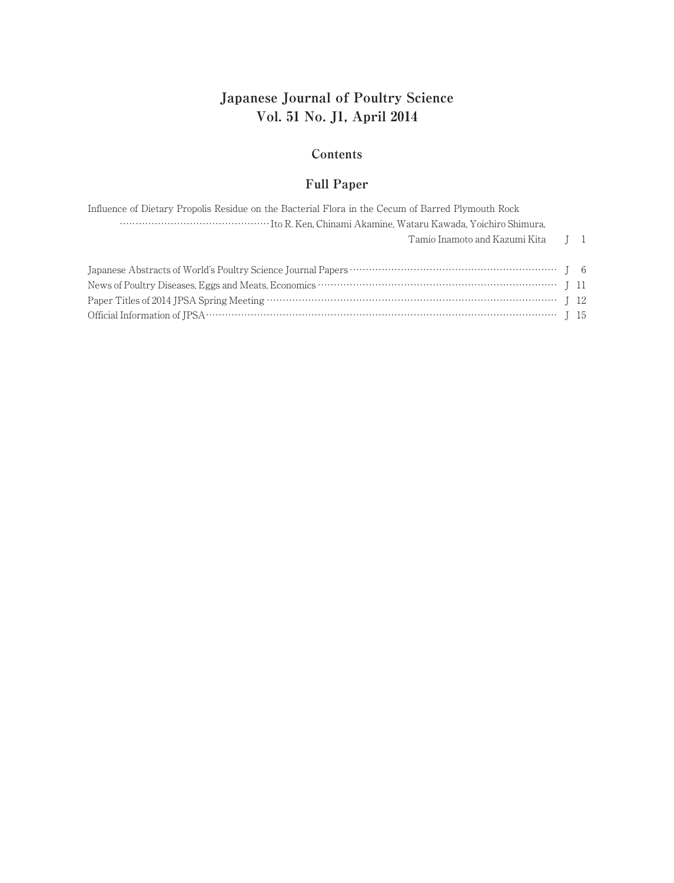# **Japanese Journal of Poultry Science Vol. 51 No. J1, April 2014**

#### **Contents**

#### **Full Paper**

| Influence of Dietary Propolis Residue on the Bacterial Flora in the Cecum of Barred Plymouth Rock |  |
|---------------------------------------------------------------------------------------------------|--|
|                                                                                                   |  |
| Tamio Inamoto and Kazumi Kita II                                                                  |  |
|                                                                                                   |  |
|                                                                                                   |  |
|                                                                                                   |  |
|                                                                                                   |  |